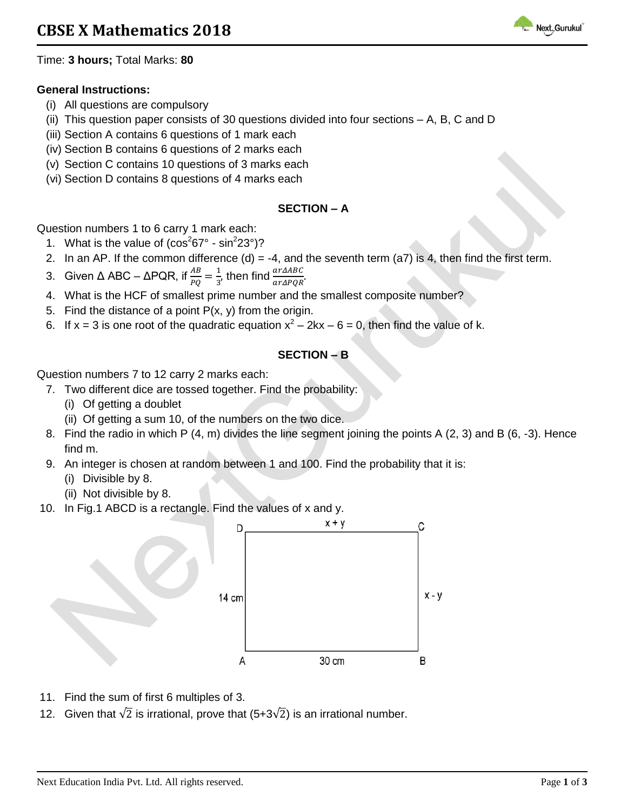

Time: **3 hours;** Total Marks: **80**

### **General Instructions:**

- (i) All questions are compulsory
- (ii) This question paper consists of 30 questions divided into four sections A, B, C and D
- (iii) Section A contains 6 questions of 1 mark each
- (iv) Section B contains 6 questions of 2 marks each
- (v) Section C contains 10 questions of 3 marks each
- (vi) Section D contains 8 questions of 4 marks each

### **SECTION – A**

Question numbers 1 to 6 carry 1 mark each:

- 1. What is the value of  $(cos<sup>2</sup>67° sin<sup>2</sup>23°)?$
- 2. In an AP. If the common difference  $(d) = -4$ , and the seventh term  $(a7)$  is 4, then find the first term.
- 3. Given Δ ABC ΔPQR, if  $\frac{AB}{PQ} = \frac{1}{3}$  $\frac{1}{3}$ , then find  $\frac{ar\Delta ABC}{ar\Delta PQR}$ .
- 4. What is the HCF of smallest prime number and the smallest composite number?
- 5. Find the distance of a point  $P(x, y)$  from the origin.
- 6. If x = 3 is one root of the quadratic equation  $x^2 2kx 6 = 0$ , then find the value of k.

### **SECTION – B**

Question numbers 7 to 12 carry 2 marks each:

- 7. Two different dice are tossed together. Find the probability:
	- (i) Of getting a doublet
	- (ii) Of getting a sum 10, of the numbers on the two dice.
- 8. Find the radio in which P (4, m) divides the line segment joining the points A (2, 3) and B (6, -3). Hence find m.
- 9. An integer is chosen at random between 1 and 100. Find the probability that it is:
	- (i) Divisible by 8.
	- (ii) Not divisible by 8.
- 10. In Fig.1 ABCD is a rectangle. Find the values of x and y.



- 11. Find the sum of first 6 multiples of 3.
- 12. Given that  $\sqrt{2}$  is irrational, prove that (5+3 $\sqrt{2}$ ) is an irrational number.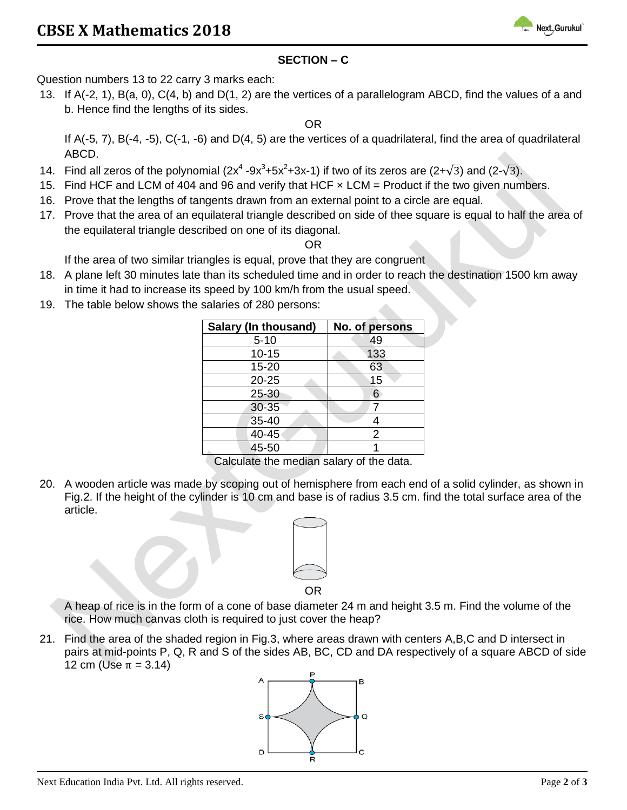

## **SECTION – C**

Question numbers 13 to 22 carry 3 marks each:

13. If A(-2, 1), B(a, 0), C(4, b) and D(1, 2) are the vertices of a parallelogram ABCD, find the values of a and b. Hence find the lengths of its sides.

OR

If A(-5, 7), B(-4, -5), C(-1, -6) and D(4, 5) are the vertices of a quadrilateral, find the area of quadrilateral ABCD.

- 14. Find all zeros of the polynomial  $(2x^4 9x^3 + 5x^2 + 3x 1)$  if two of its zeros are  $(2 + \sqrt{3})$  and  $(2 \sqrt{3})$ .
- 15. Find HCF and LCM of 404 and 96 and verify that HCF x LCM = Product if the two given numbers.
- 16. Prove that the lengths of tangents drawn from an external point to a circle are equal.
- 17. Prove that the area of an equilateral triangle described on side of thee square is equal to half the area of the equilateral triangle described on one of its diagonal.

OR

If the area of two similar triangles is equal, prove that they are congruent

- 18. A plane left 30 minutes late than its scheduled time and in order to reach the destination 1500 km away in time it had to increase its speed by 100 km/h from the usual speed.
- 19. The table below shows the salaries of 280 persons:

| Salary (In thousand) | No. of persons |  |  |  |
|----------------------|----------------|--|--|--|
| $5 - 10$             | 49             |  |  |  |
| $10 - 15$            | 133            |  |  |  |
| 15-20                | 63             |  |  |  |
| $20 - 25$            | 15             |  |  |  |
| 25-30                | 6              |  |  |  |
| 30-35                |                |  |  |  |
| $35 - 40$            | Δ              |  |  |  |
| 40-45                | 2              |  |  |  |
| 45-50                |                |  |  |  |

Calculate the median salary of the data.

20. A wooden article was made by scoping out of hemisphere from each end of a solid cylinder, as shown in Fig.2. If the height of the cylinder is 10 cm and base is of radius 3.5 cm. find the total surface area of the article.



A heap of rice is in the form of a cone of base diameter 24 m and height 3.5 m. Find the volume of the rice. How much canvas cloth is required to just cover the heap?

21. Find the area of the shaded region in Fig.3, where areas drawn with centers A,B,C and D intersect in pairs at mid-points P, Q, R and S of the sides AB, BC, CD and DA respectively of a square ABCD of side 12 cm (Use  $π = 3.14$ )